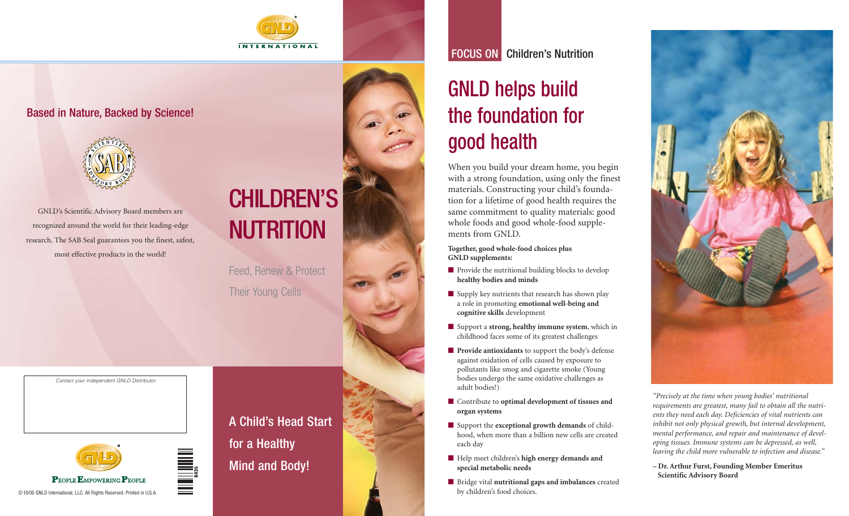

### Based in Nature, Backed by Science!



GNLD's Scientific Advisory Board members are recognized around the world for their leading-edge research. The SAB Seal guarantees you the finest, safest, most effective products in the world!

# CHILDREN'S**NUTRITION**

Feed, Renew & Protect Their Young Cells

*Contact your independent GNLD Distributor:*



A Child's Head Startfor a Healthy Mind and Body!

FOCUS ON Children's Nutrition

# GNLD helps build the foundation for good health

When you build your dream home, you begin with a strong foundation, using only the finest materials. Constructing your child's foundation for a lifetime of good health requires the same commitment to quality materials: good whole foods and good whole-food supplements from GNLD.

**Together, good whole-food choices plus GNLD supplements:**

- Provide the nutritional building blocks to develop **healthy bodies and minds**
- Supply key nutrients that research has shown play a role in promoting **emotional well-being and cognitive skills** development
- Support a **strong, healthy immune system**, which in childhood faces some of its greatest challenges
- **Provide antioxidants** to support the body's defense against oxidation of cells caused by exposure to pollutants like smog and cigarette smoke (Young bodies undergo the same oxidative challenges as adult bodies!)
- Contribute to **optimal development of tissues and organ systems**
- Support the **exceptional growth demands** of childhood, when more than a billion new cells are created each day
- Help meet children's **high energy demands and special metabolic needs**
- Bridge vital **nutritional gaps and imbalances** created by children's food choices.



*"Precisely at the time when young bodies' nutritional requirements are greatest, many fail to obtain all the nutrients they need each day. Deficiencies of vital nutrients can inhibit not only physical growth, but internal development, mental performance, and repair and maintenance of developing tissues. Immune systems can be depressed, as well, leaving the child more vulnerable to infection and disease."*

**– Dr. Arthur Furst, Founding Member Emeritus Scientific Advisory Board**